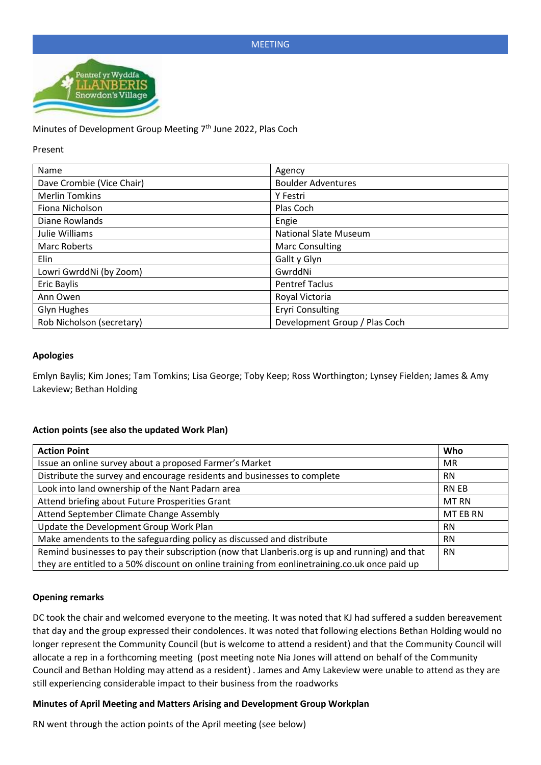

Minutes of Development Group Meeting 7<sup>th</sup> June 2022, Plas Coch

#### Present

| Name                      | Agency                        |
|---------------------------|-------------------------------|
| Dave Crombie (Vice Chair) | <b>Boulder Adventures</b>     |
| <b>Merlin Tomkins</b>     | Y Festri                      |
| Fiona Nicholson           | Plas Coch                     |
| Diane Rowlands            | Engie                         |
| Julie Williams            | <b>National Slate Museum</b>  |
| <b>Marc Roberts</b>       | <b>Marc Consulting</b>        |
| Elin                      | Gallt y Glyn                  |
| Lowri GwrddNi (by Zoom)   | GwrddNi                       |
| <b>Eric Baylis</b>        | <b>Pentref Taclus</b>         |
| Ann Owen                  | Royal Victoria                |
| Glyn Hughes               | <b>Eryri Consulting</b>       |
| Rob Nicholson (secretary) | Development Group / Plas Coch |

### **Apologies**

Emlyn Baylis; Kim Jones; Tam Tomkins; Lisa George; Toby Keep; Ross Worthington; Lynsey Fielden; James & Amy Lakeview; Bethan Holding

# **Action points (see also the updated Work Plan)**

| <b>Action Point</b>                                                                             | Who       |
|-------------------------------------------------------------------------------------------------|-----------|
| Issue an online survey about a proposed Farmer's Market                                         | <b>MR</b> |
| Distribute the survey and encourage residents and businesses to complete                        | <b>RN</b> |
| Look into land ownership of the Nant Padarn area                                                | RN EB     |
| Attend briefing about Future Prosperities Grant                                                 | MT RN     |
| Attend September Climate Change Assembly                                                        | MT EB RN  |
| Update the Development Group Work Plan                                                          | <b>RN</b> |
| Make amendents to the safeguarding policy as discussed and distribute                           |           |
| Remind businesses to pay their subscription (now that Llanberis.org is up and running) and that |           |
| they are entitled to a 50% discount on online training from eonlinetraining.co.uk once paid up  |           |

### **Opening remarks**

DC took the chair and welcomed everyone to the meeting. It was noted that KJ had suffered a sudden bereavement that day and the group expressed their condolences. It was noted that following elections Bethan Holding would no longer represent the Community Council (but is welcome to attend a resident) and that the Community Council will allocate a rep in a forthcoming meeting (post meeting note Nia Jones will attend on behalf of the Community Council and Bethan Holding may attend as a resident) . James and Amy Lakeview were unable to attend as they are still experiencing considerable impact to their business from the roadworks

### **Minutes of April Meeting and Matters Arising and Development Group Workplan**

RN went through the action points of the April meeting (see below)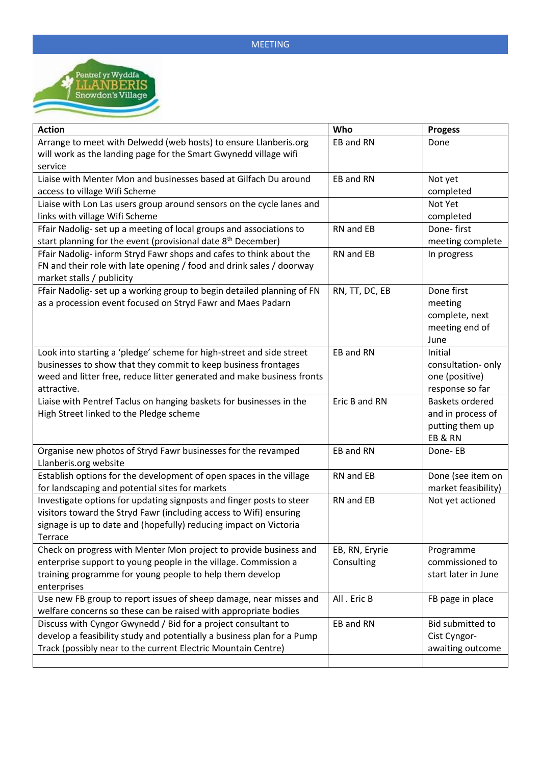

| <b>Action</b>                                                            | Who            | <b>Progess</b>         |
|--------------------------------------------------------------------------|----------------|------------------------|
| Arrange to meet with Delwedd (web hosts) to ensure Llanberis.org         | EB and RN      | Done                   |
| will work as the landing page for the Smart Gwynedd village wifi         |                |                        |
| service                                                                  |                |                        |
| Liaise with Menter Mon and businesses based at Gilfach Du around         | EB and RN      | Not yet                |
| access to village Wifi Scheme                                            |                | completed              |
| Liaise with Lon Las users group around sensors on the cycle lanes and    |                | Not Yet                |
| links with village Wifi Scheme                                           |                | completed              |
| Ffair Nadolig- set up a meeting of local groups and associations to      | RN and EB      | Done-first             |
| start planning for the event (provisional date 8 <sup>th</sup> December) |                | meeting complete       |
| Ffair Nadolig-inform Stryd Fawr shops and cafes to think about the       | RN and EB      | In progress            |
| FN and their role with late opening / food and drink sales / doorway     |                |                        |
| market stalls / publicity                                                |                |                        |
| Ffair Nadolig- set up a working group to begin detailed planning of FN   | RN, TT, DC, EB | Done first             |
| as a procession event focused on Stryd Fawr and Maes Padarn              |                | meeting                |
|                                                                          |                | complete, next         |
|                                                                          |                | meeting end of         |
|                                                                          |                | June                   |
| Look into starting a 'pledge' scheme for high-street and side street     | EB and RN      | Initial                |
| businesses to show that they commit to keep business frontages           |                | consultation- only     |
| weed and litter free, reduce litter generated and make business fronts   |                | one (positive)         |
| attractive.                                                              |                | response so far        |
| Liaise with Pentref Taclus on hanging baskets for businesses in the      | Eric B and RN  | <b>Baskets ordered</b> |
| High Street linked to the Pledge scheme                                  |                | and in process of      |
|                                                                          |                | putting them up        |
|                                                                          |                | EB&RN                  |
| Organise new photos of Stryd Fawr businesses for the revamped            | EB and RN      | Done-EB                |
| Llanberis.org website                                                    |                |                        |
| Establish options for the development of open spaces in the village      | RN and EB      | Done (see item on      |
| for landscaping and potential sites for markets                          |                | market feasibility)    |
| Investigate options for updating signposts and finger posts to steer     | RN and EB      | Not yet actioned       |
| visitors toward the Stryd Fawr (including access to Wifi) ensuring       |                |                        |
| signage is up to date and (hopefully) reducing impact on Victoria        |                |                        |
| Terrace                                                                  |                |                        |
| Check on progress with Menter Mon project to provide business and        | EB, RN, Eryrie | Programme              |
| enterprise support to young people in the village. Commission a          | Consulting     | commissioned to        |
| training programme for young people to help them develop                 |                | start later in June    |
| enterprises                                                              |                |                        |
| Use new FB group to report issues of sheep damage, near misses and       | All. Eric B    | FB page in place       |
| welfare concerns so these can be raised with appropriate bodies          |                |                        |
| Discuss with Cyngor Gwynedd / Bid for a project consultant to            | EB and RN      | Bid submitted to       |
| develop a feasibility study and potentially a business plan for a Pump   |                | Cist Cyngor-           |
| Track (possibly near to the current Electric Mountain Centre)            |                | awaiting outcome       |
|                                                                          |                |                        |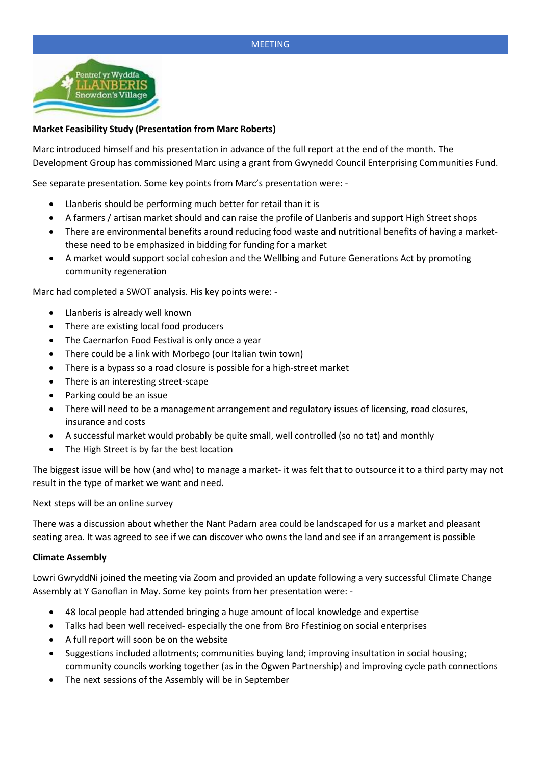

# **Market Feasibility Study (Presentation from Marc Roberts)**

Marc introduced himself and his presentation in advance of the full report at the end of the month. The Development Group has commissioned Marc using a grant from Gwynedd Council Enterprising Communities Fund.

See separate presentation. Some key points from Marc's presentation were: -

- Llanberis should be performing much better for retail than it is
- A farmers / artisan market should and can raise the profile of Llanberis and support High Street shops
- There are environmental benefits around reducing food waste and nutritional benefits of having a marketthese need to be emphasized in bidding for funding for a market
- A market would support social cohesion and the Wellbing and Future Generations Act by promoting community regeneration

Marc had completed a SWOT analysis. His key points were: -

- Llanberis is already well known
- There are existing local food producers
- The Caernarfon Food Festival is only once a year
- There could be a link with Morbego (our Italian twin town)
- There is a bypass so a road closure is possible for a high-street market
- There is an interesting street-scape
- Parking could be an issue
- There will need to be a management arrangement and regulatory issues of licensing, road closures, insurance and costs
- A successful market would probably be quite small, well controlled (so no tat) and monthly
- The High Street is by far the best location

The biggest issue will be how (and who) to manage a market- it was felt that to outsource it to a third party may not result in the type of market we want and need.

Next steps will be an online survey

There was a discussion about whether the Nant Padarn area could be landscaped for us a market and pleasant seating area. It was agreed to see if we can discover who owns the land and see if an arrangement is possible

### **Climate Assembly**

Lowri GwryddNi joined the meeting via Zoom and provided an update following a very successful Climate Change Assembly at Y Ganoflan in May. Some key points from her presentation were: -

- 48 local people had attended bringing a huge amount of local knowledge and expertise
- Talks had been well received- especially the one from Bro Ffestiniog on social enterprises
- A full report will soon be on the website
- Suggestions included allotments; communities buying land; improving insultation in social housing; community councils working together (as in the Ogwen Partnership) and improving cycle path connections
- The next sessions of the Assembly will be in September